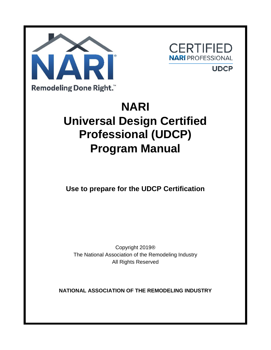



**UDCP** 

# **NARI Universal Design Certified Professional (UDCP) Program Manual**

**Use to prepare for the UDCP Certification**

Copyright 2019® The National Association of the Remodeling Industry All Rights Reserved

**NATIONAL ASSOCIATION OF THE REMODELING INDUSTRY**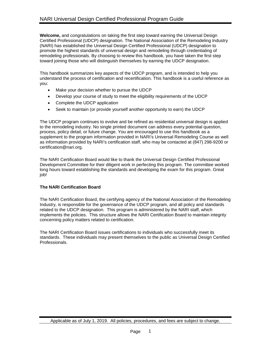**Welcome,** and congratulations on taking the first step toward earning the Universal Design Certified Professional (UDCP) designation. The National Association of the Remodeling Industry (NARI) has established the Universal Design Certified Professional (UDCP) designation to promote the highest standards of universal design and remodeling through credentialing of remodeling professionals. By choosing to review this handbook, you have taken the first step toward joining those who will distinguish themselves by earning the UDCP designation.

This handbook summarizes key aspects of the UDCP program, and is intended to help you understand the process of certification and recertification. This handbook is a useful reference as you:

- Make your decision whether to pursue the UDCP
- Develop your course of study to meet the eligibility requirements of the UDCP
- Complete the UDCP application
- Seek to maintain (or provide yourself another opportunity to earn) the UDCP

The UDCP program continues to evolve and be refined as residential universal design is applied to the remodeling industry. No single printed document can address every potential question, process, policy detail, or future change. You are encouraged to use this handbook as a supplement to the program information provided in NARI's Universal Remodeling Course as well as information provided by NARI's certification staff, who may be contacted at (847) 298-9200 or [certification@nari.org.](mailto:info@nari.org)

The NARI Certification Board would like to thank the Universal Design Certified Professional Development Committee for their diligent work in perfecting this program. The committee worked long hours toward establishing the standards and developing the exam for this program. Great job!

# **The NARI Certification Board**

The NARI Certification Board, the certifying agency of the National Association of the Remodeling Industry, is responsible for the governance of the UDCP program, and all policy and standards related to the UDCP designation. This program is administered by the NARI staff, which implements the policies. This structure allows the NARI Certification Board to maintain integrity concerning policy matters related to certification.

The NARI Certification Board issues certifications to individuals who successfully meet its standards. These individuals may present themselves to the public as Universal Design Certified Professionals.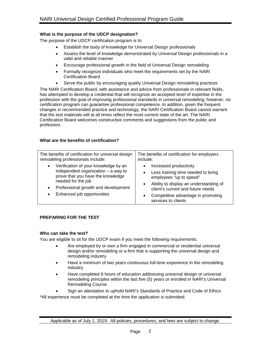# **What is the purpose of the UDCP designation?**

The purpose of the UDCP certification program is to:

- Establish the body of knowledge for Universal Design professionals
- Assess the level of knowledge demonstrated by Universal Design professionals in a valid and reliable manner
- Encourage professional growth in the field of Universal Design remodeling
- Formally recognize individuals who meet the requirements set by the NARI Certification Board
- Serve the public by encouraging quality Universal Design remodeling practices

The NARI Certification Board, with assistance and advice from professionals in relevant fields, has attempted to develop a credential that will recognize an accepted level of expertise in the profession with the goal of improving professional standards in universal remodeling; however, no certification program can guarantee professional competence. In addition, given the frequent changes in recommended practice and technology, the NARI Certification Board cannot warrant that the test materials will at all times reflect the most current state of the art. The NARI Certification Board welcomes constructive comments and suggestions from the public and profession.

# **What are the benefits of certification?**

| The benefits of certification for universal design                                                                                                                                                                                      | The benefits of certification for employers                                                                                                                                                                                         |
|-----------------------------------------------------------------------------------------------------------------------------------------------------------------------------------------------------------------------------------------|-------------------------------------------------------------------------------------------------------------------------------------------------------------------------------------------------------------------------------------|
| remodeling professionals include:                                                                                                                                                                                                       | include:                                                                                                                                                                                                                            |
| Verification of your knowledge by an<br>$\bullet$<br>independent organization $-$ a way to<br>prove that you have the knowledge<br>needed for the job<br>Professional growth and development<br>$\bullet$<br>Enhanced job opportunities | Increased productivity<br>Less training time needed to bring<br>employees "up to speed"<br>Ability to display an understanding of<br>client's current and future needs<br>Competitive advantage in promoting<br>services to clients |

# **PREPARING FOR THE TEST**

# **Who can take the test?**

You are eligible to sit for the UDCP exam if you meet the following requirements:

- Are employed by or own a firm engaged in commercial or residential universal design and/or remodeling or a firm that is supporting the universal design and remodeling industry
- Have a minimum of two years continuous full-time experience in the remodeling industry
- Have completed 8 hours of education addressing universal design or universal remodeling principles within the last five (5) years or enrolled in NARI's Universal Remodeling Course
- Sign an attestation to uphold NARI's Standards of Practice and Code of Ethics

\*All experience must be completed at the time the application is submitted.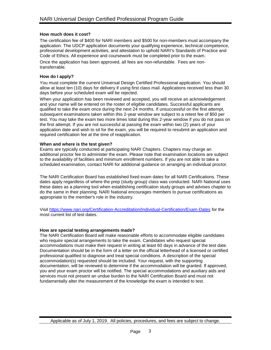# **How much does it cost?**

The certification fee of \$400 for NARI members and \$500 for non-members must accompany the application. The UDCP application documents your qualifying experience, technical competence, professional development activities, and attestation to uphold NARI's Standards of Practice and Code of Ethics. All experience and coursework must be completed prior to the exam.

Once the application has been approved, all fees are non-refundable. Fees are nontransferrable.

# **How do I apply?**

You must complete the current Universal Design Certified Professional application. You should allow at least ten (10) days for delivery if using first class mail. Applications received less than 30 days before your scheduled exam will be rejected.

When your application has been reviewed and accepted, you will receive an acknowledgement and your name will be entered on the roster of eligible candidates. Successful applicants are qualified to take the exam once during the next 24 months. If unsuccessful on the first attempt, subsequent examinations taken within this 2-year window are subject to a retest fee of \$50 per test. You may take the exam two more times total during this 2-year window if you do not pass on the first attempt. If you are not successful at passing the exam within two (2) years of your application date and wish to sit for the exam, you will be required to resubmit an application and required certification fee at the time of reapplication.

# **When and where is the test given?**

Exams are typically conducted at participating NARI Chapters. Chapters may charge an additional proctor fee to administer the exam. Please note that examination locations are subject to the availability of facilities and minimum enrollment numbers. If you are not able to take a scheduled examination, contact NARI for additional guidance on arranging an individual proctor.

The NARI Certification Board has established fixed exam dates for all NARI Certifications. These dates apply regardless of where the prep (study group) class was conducted. NARI National uses these dates as a planning tool when establishing certification study groups and advises chapter to do the same in their planning. NARI National encourages members to pursue certifications as appropriate to the member's role in the industry.

Visit<https://www.nari.org/Certification-Accreditation/Individual-Certification/Exam-Dates> for the most current list of test dates.

# **How are special testing arrangements made?**

The NARI Certification Board will make reasonable efforts to accommodate eligible candidates who require special arrangements to take the exam. Candidates who request special accommodations must make their request in writing at least 60 days in advance of the test date. Documentation should be in the form of a letter on the official letterhead of a licensed or certified professional qualified to diagnose and treat special conditions. A description of the special accommodation(s) requested should be included. Your request, with the supporting documentation, will be reviewed to determine if the accommodation will be granted. If approved, you and your exam proctor will be notified. The special accommodations and auxiliary aids and services must not present an undue burden to the NARI Certification Board and must not fundamentally alter the measurement of the knowledge the exam is intended to test.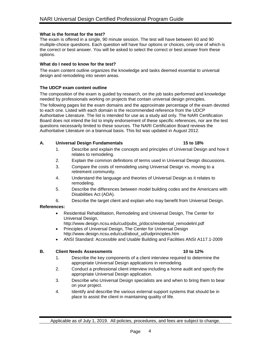### **What is the format for the test?**

The exam is offered in a single, 90 minute session. The test will have between 60 and 90 multiple-choice questions. Each question will have four options or choices, only one of which is the correct or best answer. You will be asked to select the correct or best answer from these options.

### **What do I need to know for the test?**

The exam content outline organizes the knowledge and tasks deemed essential to universal design and remodeling into seven areas.

### **The UDCP exam content outline**

The composition of the exam is guided by research, on the job tasks performed and knowledge needed by professionals working on projects that contain universal design principles.

The following pages list the exam domains and the approximate percentage of the exam devoted to each one. Listed with each domain is the recommended reference from the UDCP Authoritative Literature. The list is intended for use as a study aid only. The NARI Certification Board does not intend the list to imply endorsement of these specific references, nor are the test questions necessarily limited to these sources. The NARI Certification Board reviews the Authoritative Literature on a biannual basis. This list was updated in August 2012.

### **A. Universal Design Fundamentals 15 to 18%**

- 1. Describe and explain the concepts and principles of Universal Design and how it relates to remodeling.
- 2. Explain the common definitions of terms used in Universal Design discussions.
- 3. Compare the costs of remodeling using Universal Design vs. moving to a retirement community.
- 4. Understand the language and theories of Universal Design as it relates to remodeling.
- 5. Describe the differences between model building codes and the Americans with Disabilities Act (ADA).
- 6. Describe the target client and explain who may benefit from Universal Design.

# **References:**

- Residential Rehabilitation, Remodeling and Universal Design, The Center for Universal Design,
	- [http://www.design.ncsu.edu/cud/pubs\\_p/docs/residential\\_remodelinl.pdf](http://www.design.ncsu.edu/cud/pubs_p/docs/residential_remodelinl.pdf)
- Principles of Universal Design, The Center for Universal Design [http://www.design.ncsu.edu/cud/about\\_ud/udprinciples.htm](http://www.design.ncsu.edu/cud/about_ud/udprinciples.htm)
- ANSI Standard: Accessible and Usable Building and Facilities ANSI A117.1-2009

# **B. Client Needs Assessments** 10 to 12%

- 1. Describe the key components of a client interview required to determine the appropriate Universal Design applications in remodeling.
- 2. Conduct a professional client interview including a home audit and specify the appropriate Universal Design application.
- 3. Describe who Universal Design specialists are and when to bring them to bear on your project.
- 4. Identify and describe the various external support systems that should be in place to assist the client in maintaining quality of life.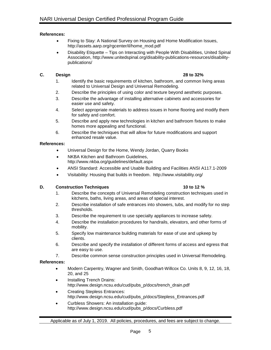# **References:**

- Fixing to Stay: A National Survey on Housing and Home Modification Issues, [http://assets.aarp.org/rgcenter/il/home\\_mod.pdf](http://assets.aarp.org/rgcenter/il/home_mod.pdf)
- Disability Etiquette Tips on Interacting with People With Disabilities, United Spinal Association, [http://www.unitedspinal.org/disability-publications-resources/disability](http://www.unitedspinal.org/disability-publications-resources/disability-publications/)[publications/](http://www.unitedspinal.org/disability-publications-resources/disability-publications/)

# **C. Design 28 to 32%**

- 1. Identify the basic requirements of kitchen, bathroom, and common living areas related to Universal Design and Universal Remodeling.
- 2. Describe the principles of using color and texture beyond aesthetic purposes.
- 3. Describe the advantage of installing alternative cabinets and accessories for easier use and safety.
- 4. Select appropriate materials to address issues in home flooring and modify them for safety and comfort.
- 5. Describe and apply new technologies in kitchen and bathroom fixtures to make homes more appealing and functional.
- 6. Describe the techniques that will allow for future modifications and support enhanced resale value.

# **References:**

- Universal Design for the Home, Wendy Jordan, Quarry Books
- NKBA Kitchen and Bathroom Guidelines, <http://www.nkba.org/guidelines/default.aspx>
- ANSI Standard: Accessible and Usable Building and Facilities ANSI A117.1-2009
- Visitability: Housing that builds in freedom. <http://www.visitability.org/>

# **D. Construction Techniques 10 to 12 %**

- 1. Describe the concepts of Universal Remodeling construction techniques used in kitchens, baths, living areas, and areas of special interest.
- 2. Describe installation of safe entrances into showers, tubs, and modify for no step thresholds.
- 3. Describe the requirement to use specialty appliances to increase safety.
- 4. Describe the installation procedures for handrails, elevators, and other forms of mobility.
- 5. Specify low maintenance building materials for ease of use and upkeep by clients.
- 6. Describe and specify the installation of different forms of access and egress that are easy to use.
- 7. Describe common sense construction principles used in Universal Remodeling.

# **References:**

- Modern Carpentry, Wagner and Smith, Goodhart-Willcox Co. Units 8, 9, 12, 16, 18, 20, and 25
- Installing Trench Drains: [http://www.design.ncsu.edu/cud/pubs\\_p/docs/trench\\_drain.pdf](http://www.design.ncsu.edu/cud/pubs_p/docs/trench_drain.pdf)
- Creating Stepless Entrances: [http://www.design.ncsu.edu/cud/pubs\\_p/docs/Stepless\\_Entrances.pdf](http://www.design.ncsu.edu/cud/pubs_p/docs/Stepless_Entrances.pdf)
- Curbless Showers: An installation guide: [http://www.design.ncsu.edu/cud/pubs\\_p/docs/Curbless.pdf](http://www.design.ncsu.edu/cud/pubs_p/docs/Curbless.pdf)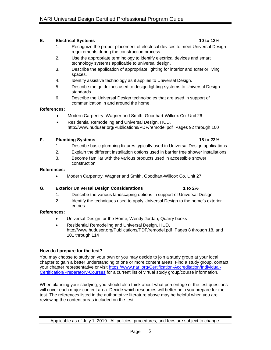# **E. Electrical Systems 10 to 12%**

- 1. Recognize the proper placement of electrical devices to meet Universal Design requirements during the construction process.
- 2. Use the appropriate terminology to identify electrical devices and smart technology systems applicable to universal design.
- 3. Describe the application of appropriate lighting for interior and exterior living spaces.
- 4. Identify assistive technology as it applies to Universal Design.
- 5. Describe the guidelines used to design lighting systems to Universal Design standards.
- 6. Describe the Universal Design technologies that are used in support of communication in and around the home.

# **References:**

- Modern Carpentry, Wagner and Smith, Goodhart-Willcox Co. Unit 26
- Residential Remodeling and Universal Design, HUD, <http://www.huduser.org/Publications/PDF/remodel.pdf>Pages 92 through 100

# **F. Plumbing Systems 18 to 22%**

- 1. Describe basic plumbing fixtures typically used in Universal Design applications.
- 2. Explain the different installation options used in barrier free shower installations.
- 3. Become familiar with the various products used in accessible shower construction.

### **References:**

• Modern Carpentry, Wagner and Smith, Goodhart-Willcox Co. Unit 27

# **G. Exterior Universal Design Considerations 1 to 2%**

- 1. Describe the various landscaping options in support of Universal Design.
- 2. Identify the techniques used to apply Universal Design to the home's exterior entries.

# **References:**

- Universal Design for the Home, Wendy Jordan, Quarry books
- Residential Remodeling and Universal Design, HUD, <http://www.huduser.org/Publications/PDF/remodel.pdf>Pages 8 through 18, and 101 through 114

# **How do I prepare for the test?**

You may choose to study on your own or you may decide to join a study group at your local chapter to gain a better understanding of one or more content areas. Find a study group, contact your chapter representative or visit [https://www.nari.org/Certification-Accreditation/Individual-](https://www.nari.org/Certification-Accreditation/Individual-Certification/Preparatory-Courses)[Certification/Preparatory-Courses](https://www.nari.org/Certification-Accreditation/Individual-Certification/Preparatory-Courses) for a current list of virtual study group/course information.

When planning your studying, you should also think about what percentage of the test questions will cover each major content area. Decide which resources will better help you prepare for the test. The references listed in the authoritative literature above may be helpful when you are reviewing the content areas included on the test.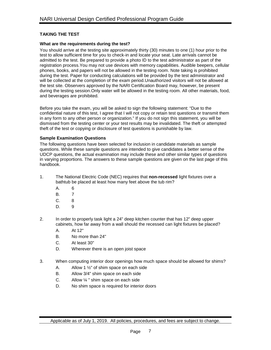# **TAKING THE TEST**

### **What are the requirements during the test?**

You should arrive at the testing site approximately thirty (30) minutes to one (1) hour prior to the test to allow sufficient time for you to check-in and locate your seat. Late arrivals cannot be admitted to the test. Be prepared to provide a photo ID to the test administrator as part of the registration process.You may not use devices with memory capabilities. Audible beepers, cellular phones, books, and papers will not be allowed in the testing room. Note taking is prohibited during the test. Paper for conducting calculations will be provided by the test administrator and will be collected at the completion of the exam period.Unauthorized visitors will not be allowed at the test site. Observers approved by the NARI Certification Board may, however, be present during the testing session.Only water will be allowed in the testing room. All other materials, food, and beverages are prohibited.

Before you take the exam, you will be asked to sign the following statement: "Due to the confidential nature of this test, I agree that I will not copy or retain test questions or transmit them in any form to any other person or organization." If you do not sign this statement, you will be dismissed from the testing center or your test results may be invalidated. The theft or attempted theft of the test or copying or disclosure of test questions is punishable by law.

# **Sample Examination Questions**

The following questions have been selected for inclusion in candidate materials as sample questions. While these sample questions are intended to give candidates a better sense of the UDCP questions, the actual examination may include these and other similar types of questions in varying proportions. The answers to these sample questions are given on the last page of this handbook.

- 1. The National Electric Code (NEC) requires that **non-recessed** light fixtures over a bathtub be placed at least how many feet above the tub rim?
	- A. 6
	- B. 7
	- C. 8
	- D. 9
- 2. In order to properly task light a 24" deep kitchen counter that has 12" deep upper cabinets, how far away from a wall should the recessed can light fixtures be placed?
	- A. At 12"
	- B. No more than 24"
	- C. At least 30"
	- D. Wherever there is an open joist space
- 3. When computing interior door openings how much space should be allowed for shims?
	- A. Allow 1 ½" of shim space on each side
	- B. Allow 3/4" shim space on each side
	- C. Allow  $\frac{1}{4}$  " shim space on each side
	- D. No shim space is required for interior doors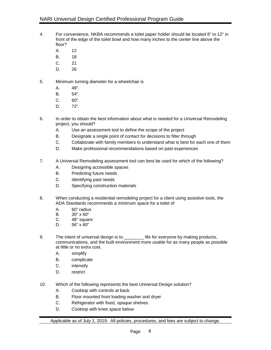- 4. For convenience, NKBA recommends a toilet paper holder should be located 8" to 12" in front of the edge of the toilet bowl and how many inches to the center line above the floor?
	- A. 12
	- B. 18
	- C. 21
	- D. 26
- 5. Minimum turning diameter for a wheelchair is
	- A. 48".
	- B. 54".
	- C. 60".
	- D. 72".
- 6. In order to obtain the best information about what is needed for a Universal Remodeling project, you should?
	- A. Use an assessment tool to define the scope of the project
	- B. Designate a single point of contact for decisions to filter through
	- C. Collaborate with family members to understand what is best for each one of them
	- D. Make professional recommendations based on past experiences
- 7. A Universal Remodeling assessment tool can best be used for which of the following?
	- A. Designing accessible spaces
	- B. Predicting future needs
	- C. Identifying past needs
	- D. Specifying construction materials
- 8. When conducting a residential remodeling project for a client using assistive tools, the ADA Standards recommends a minimum space for a toilet of
	- A. 60" radius
	- B. 30" x 60"
	- C.  $48"$  square<br>D.  $56"$  x  $60"$
	- $56" \times 60"$
- 9. The intent of universal design is to **Lackter is intereface in the interior** life for everyone by making products, communications, and the built environment more usable for as many people as possible at little or no extra cost.
	- A. simplify
	- B. complicate
	- C. intensify
	- D. restrict
- 10. Which of the following represents the best Universal Design solution?
	- A. Cooktop with controls at back
	- B. Floor mounted front loading washer and dryer
	- C. Refrigerator with fixed, opaque shelves
	- D. Cooktop with knee space below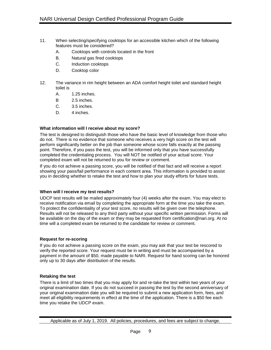- 11. When selecting/specifying cooktops for an accessible kitchen which of the following features must be considered?
	- A. Cooktops with controls located in the front
	- B. Natural gas fired cooktops
	- C. Induction cooktops
	- D. Cooktop color
- 12. The variance in rim height between an ADA comfort height toilet and standard height toilet is
	- A. 1.25 inches.
	- B 2.5 inches.
	- C. 3.5 inches.
	- D. 4 inches.

# **What information will I receive about my score?**

The test is designed to distinguish those who have the basic level of knowledge from those who do not. There is no evidence that someone who receives a very high score on the test will perform significantly better on the job than someone whose score falls exactly at the passing point. Therefore, if you pass the test, you will be informed only that you have successfully completed the credentialing process. You will NOT be notified of your actual score. Your completed exam will not be returned to you for review or comment.

If you do not achieve a passing score, you will be notified of that fact and will receive a report showing your pass/fail performance in each content area. This information is provided to assist you in deciding whether to retake the test and how to plan your study efforts for future tests.

# **When will I receive my test results?**

UDCP test results will be mailed approximately four (4) weeks after the exam. You may elect to receive notification via email by completing the appropriate form at the time you take the exam. To protect the confidentiality of your test score, no results will be given over the telephone. Results will not be released to any third party without your specific written permission. Forms will be available on the day of the exam or they may be requested from [certification@nari.org.](mailto:certification@nari.com) At no time will a completed exam be returned to the candidate for review or comment.

# **Request for re-scoring**

If you do not achieve a passing score on the exam, you may ask that your test be rescored to verify the reported score. Your request must be in writing and must be accompanied by a payment in the amount of \$50, made payable to NARI. Request for hand scoring can be honored only up to 30 days after distribution of the results.

# **Retaking the test**

There is a limit of two times that you may apply for and re-take the test within two years of your original examination date. If you do not succeed in passing the test by the second anniversary of your original examination date you will be required to submit a new application form, fees, and meet all eligibility requirements in effect at the time of the application. There is a \$50 fee each time you retake the UDCP exam.